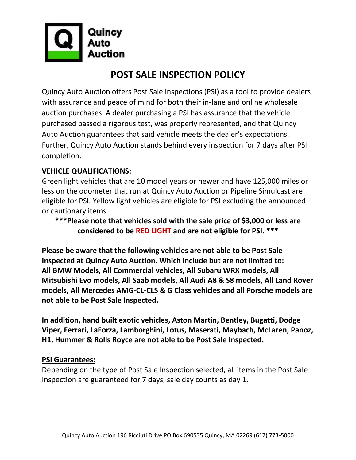

# **POST SALE INSPECTION POLICY**

Quincy Auto Auction offers Post Sale Inspections (PSI) as a tool to provide dealers with assurance and peace of mind for both their in-lane and online wholesale auction purchases. A dealer purchasing a PSI has assurance that the vehicle purchased passed a rigorous test, was properly represented, and that Quincy Auto Auction guarantees that said vehicle meets the dealer's expectations. Further, Quincy Auto Auction stands behind every inspection for 7 days after PSI completion.

#### **VEHICLE QUALIFICATIONS:**

Green light vehicles that are 10 model years or newer and have 125,000 miles or less on the odometer that run at Quincy Auto Auction or Pipeline Simulcast are eligible for PSI. Yellow light vehicles are eligible for PSI excluding the announced or cautionary items.

**\*\*\*Please note that vehicles sold with the sale price of \$3,000 or less are considered to be RED LIGHT and are not eligible for PSI. \*\*\***

**Please be aware that the following vehicles are not able to be Post Sale Inspected at Quincy Auto Auction. Which include but are not limited to: All BMW Models, All Commercial vehicles, All Subaru WRX models, All Mitsubishi Evo models, All Saab models, All Audi A8 & S8 models, All Land Rover models, All Mercedes AMG-CL-CLS & G Class vehicles and all Porsche models are not able to be Post Sale Inspected.** 

**In addition, hand built exotic vehicles, Aston Martin, Bentley, Bugatti, Dodge Viper, Ferrari, LaForza, Lamborghini, Lotus, Maserati, Maybach, McLaren, Panoz, H1, Hummer & Rolls Royce are not able to be Post Sale Inspected.** 

#### **PSI Guarantees:**

Depending on the type of Post Sale Inspection selected, all items in the Post Sale Inspection are guaranteed for 7 days, sale day counts as day 1.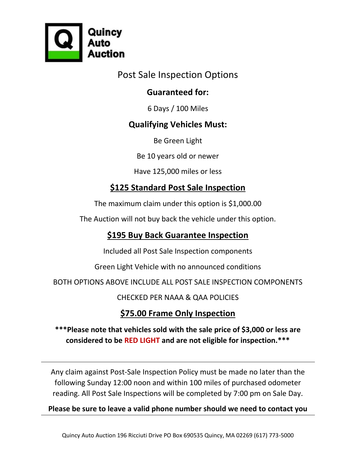

Post Sale Inspection Options

### **Guaranteed for:**

6 Days / 100 Miles

### **Qualifying Vehicles Must:**

Be Green Light

Be 10 years old or newer

Have 125,000 miles or less

### **\$125 Standard Post Sale Inspection**

The maximum claim under this option is \$1,000.00

The Auction will not buy back the vehicle under this option.

### **\$195 Buy Back Guarantee Inspection**

Included all Post Sale Inspection components

Green Light Vehicle with no announced conditions

BOTH OPTIONS ABOVE INCLUDE ALL POST SALE INSPECTION COMPONENTS

CHECKED PER NAAA & QAA POLICIES

## **\$75.00 Frame Only Inspection**

#### **\*\*\*Please note that vehicles sold with the sale price of \$3,000 or less are considered to be RED LIGHT and are not eligible for inspection.\*\*\***

Any claim against Post-Sale Inspection Policy must be made no later than the following Sunday 12:00 noon and within 100 miles of purchased odometer reading. All Post Sale Inspections will be completed by 7:00 pm on Sale Day.

**Please be sure to leave a valid phone number should we need to contact you**